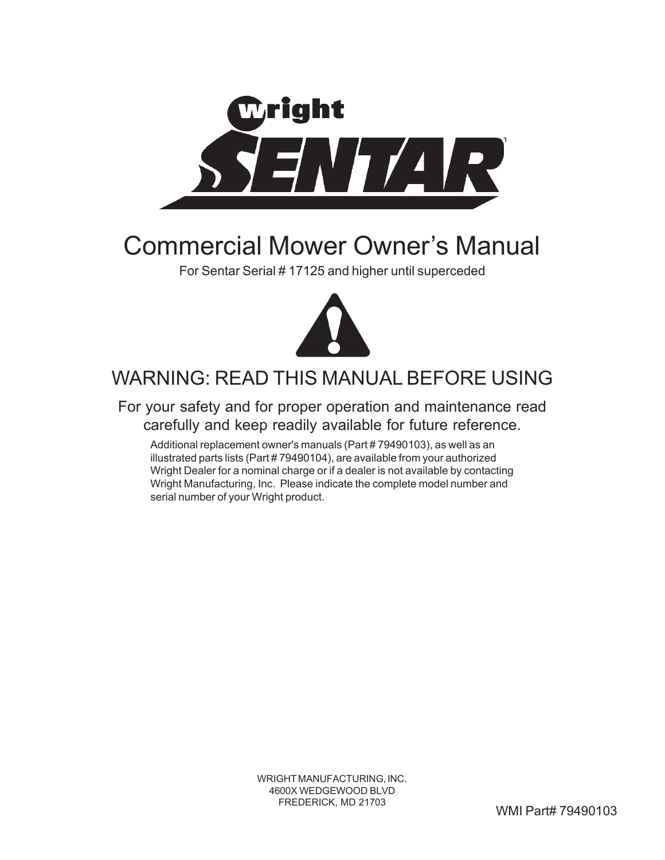

## Commercial Mower Owner's Manual

For Sentar Serial # 17125 and higher until superceded



## WARNING: READ THIS MANUAL BEFORE USING

For your safety and for proper operation and maintenance read carefully and keep readily available for future reference.

Additional replacement owner's manuals (Part # 79490103), as well as an illustrated parts lists (Part # 79490104), are available from your authorized Wright Dealer for a nominal charge or if a dealer is not available by contacting Wright Manufacturing, Inc. Please indicate the complete model number and serial number of your Wright product.

> WRIGHT MANUFACTURING, INC. 4600X WEDGEWOOD BLVD FREDERICK, MD 21703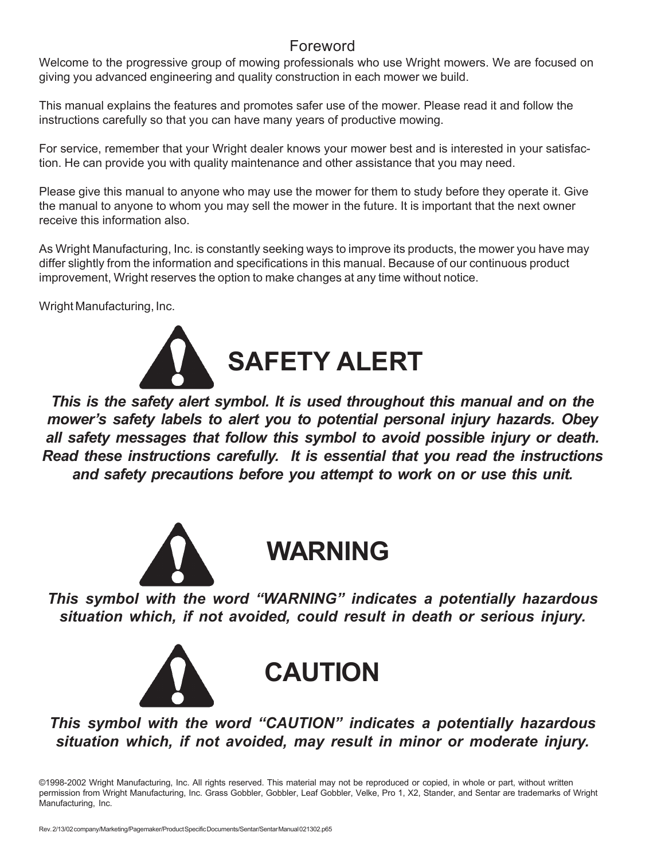#### Foreword

Welcome to the progressive group of mowing professionals who use Wright mowers. We are focused on giving you advanced engineering and quality construction in each mower we build.

This manual explains the features and promotes safer use of the mower. Please read it and follow the instructions carefully so that you can have many years of productive mowing.

For service, remember that your Wright dealer knows your mower best and is interested in your satisfaction. He can provide you with quality maintenance and other assistance that you may need.

Please give this manual to anyone who may use the mower for them to study before they operate it. Give the manual to anyone to whom you may sell the mower in the future. It is important that the next owner receive this information also.

As Wright Manufacturing, Inc. is constantly seeking ways to improve its products, the mower you have may differ slightly from the information and specifications in this manual. Because of our continuous product improvement, Wright reserves the option to make changes at any time without notice.

Wright Manufacturing, Inc.



*This is the safety alert symbol. It is used throughout this manual and on the mower's safety labels to alert you to potential personal injury hazards. Obey all safety messages that follow this symbol to avoid possible injury or death. Read these instructions carefully. It is essential that you read the instructions and safety precautions before you attempt to work on or use this unit.*



## **WARNING**

*This symbol with the word "WARNING" indicates a potentially hazardous situation which, if not avoided, could result in death or serious injury.*





*This symbol with the word "CAUTION" indicates a potentially hazardous situation which, if not avoided, may result in minor or moderate injury.*

©1998-2002 Wright Manufacturing, Inc. All rights reserved. This material may not be reproduced or copied, in whole or part, without written permission from Wright Manufacturing, Inc. Grass Gobbler, Gobbler, Leaf Gobbler, Velke, Pro 1, X2, Stander, and Sentar are trademarks of Wright Manufacturing, Inc.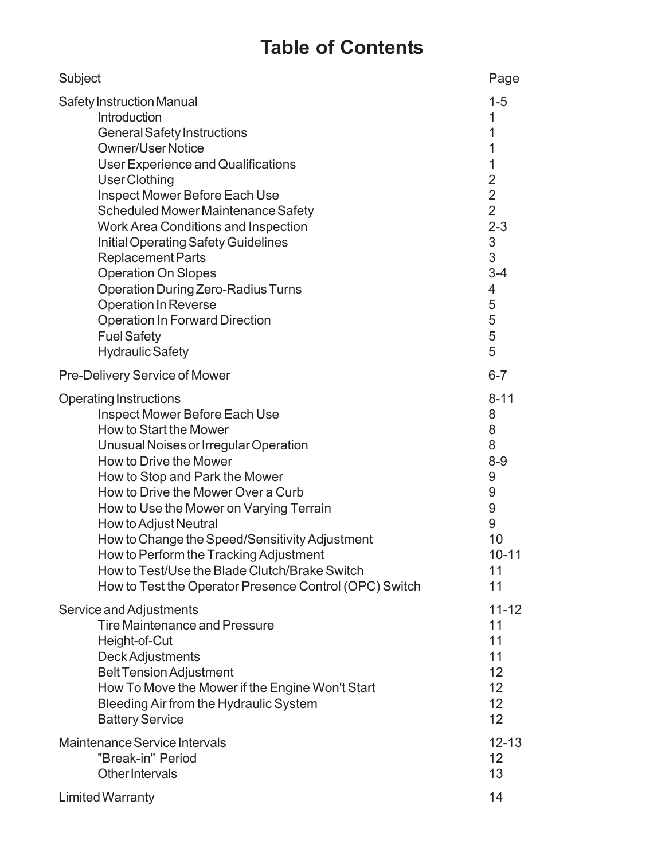### **Table of Contents**

| Subject                                                | Page           |
|--------------------------------------------------------|----------------|
| <b>Safety Instruction Manual</b>                       | $1 - 5$        |
| Introduction                                           | 1              |
| <b>General Safety Instructions</b>                     | 1              |
| <b>Owner/User Notice</b>                               | 1              |
| <b>User Experience and Qualifications</b>              | 1              |
| <b>User Clothing</b>                                   | $\overline{2}$ |
| Inspect Mower Before Each Use                          | $\overline{2}$ |
| Scheduled Mower Maintenance Safety                     | $\overline{2}$ |
| <b>Work Area Conditions and Inspection</b>             | $2 - 3$        |
| <b>Initial Operating Safety Guidelines</b>             | 3              |
| <b>Replacement Parts</b>                               | 3              |
| <b>Operation On Slopes</b>                             | $3 - 4$        |
| <b>Operation During Zero-Radius Turns</b>              | 4              |
| <b>Operation In Reverse</b>                            | 5              |
| <b>Operation In Forward Direction</b>                  | 5              |
| <b>Fuel Safety</b>                                     | 5              |
| <b>Hydraulic Safety</b>                                | 5              |
| Pre-Delivery Service of Mower                          | $6 - 7$        |
| <b>Operating Instructions</b>                          | $8 - 11$       |
| Inspect Mower Before Each Use                          | 8              |
| How to Start the Mower                                 | 8              |
| Unusual Noises or Irregular Operation                  | 8              |
| How to Drive the Mower                                 | $8 - 9$        |
| How to Stop and Park the Mower                         | 9              |
| How to Drive the Mower Over a Curb                     | 9              |
| How to Use the Mower on Varying Terrain                | 9              |
| How to Adjust Neutral                                  | 9              |
| How to Change the Speed/Sensitivity Adjustment         | 10             |
| How to Perform the Tracking Adjustment                 | $10 - 11$      |
| How to Test/Use the Blade Clutch/Brake Switch          | 11             |
| How to Test the Operator Presence Control (OPC) Switch | 11             |
| Service and Adjustments                                | $11 - 12$      |
| <b>Tire Maintenance and Pressure</b>                   | 11             |
| Height-of-Cut                                          | 11             |
| Deck Adjustments                                       | 11             |
| <b>Belt Tension Adjustment</b>                         | 12             |
| How To Move the Mower if the Engine Won't Start        | 12             |
| Bleeding Air from the Hydraulic System                 | 12             |
| <b>Battery Service</b>                                 | 12             |
| Maintenance Service Intervals                          | $12 - 13$      |
| "Break-in" Period                                      | 12             |
| Other Intervals                                        | 13             |
| <b>Limited Warranty</b>                                | 14             |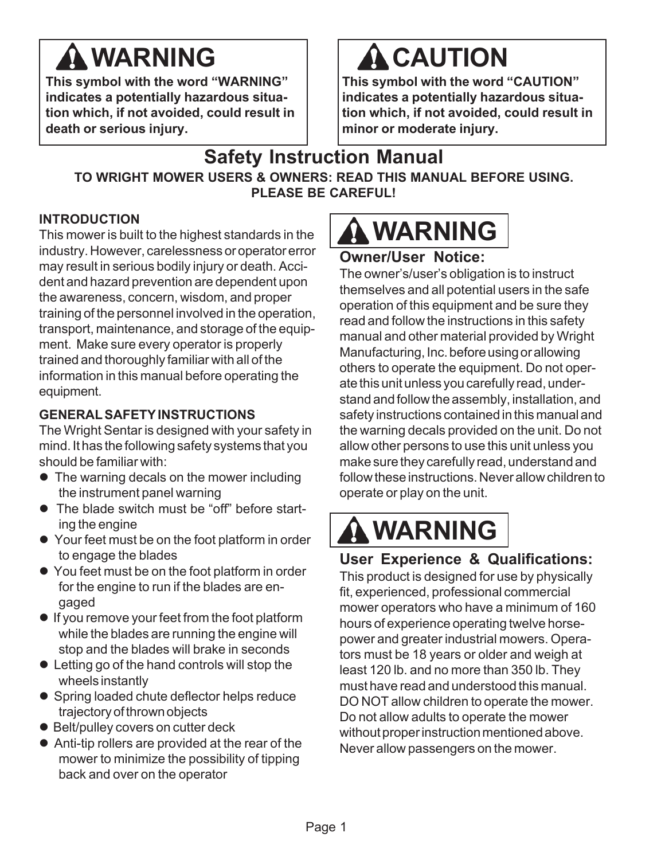# **WARNING**

**This symbol with the word "WARNING" indicates a potentially hazardous situation which, if not avoided, could result in death or serious injury.**

# **A CAUTION**

**This symbol with the word "CAUTION" indicates a potentially hazardous situation which, if not avoided, could result in minor or moderate injury.**

### **Safety Instruction Manual TO WRIGHT MOWER USERS & OWNERS: READ THIS MANUAL BEFORE USING. PLEASE BE CAREFUL!**

#### **INTRODUCTION**

This mower is built to the highest standards in the industry. However, carelessness or operator error may result in serious bodily injury or death. Accident and hazard prevention are dependent upon the awareness, concern, wisdom, and proper training of the personnel involved in the operation, transport, maintenance, and storage of the equipment. Make sure every operator is properly trained and thoroughly familiar with all of the information in this manual before operating the equipment.

#### **GENERAL SAFETY INSTRUCTIONS**

The Wright Sentar is designed with your safety in mind. It has the following safety systems that you should be familiar with:

- $\bullet$  The warning decals on the mower including the instrument panel warning
- The blade switch must be "off" before starting the engine
- Your feet must be on the foot platform in order to engage the blades
- You feet must be on the foot platform in order for the engine to run if the blades are engaged
- If you remove your feet from the foot platform while the blades are running the engine will stop and the blades will brake in seconds
- Letting go of the hand controls will stop the wheels instantly
- Spring loaded chute deflector helps reduce trajectory of thrown objects
- Belt/pulley covers on cutter deck
- $\bullet$  Anti-tip rollers are provided at the rear of the mower to minimize the possibility of tipping back and over on the operator



### **Owner/User Notice:**

The owner's/user's obligation is to instruct themselves and all potential users in the safe operation of this equipment and be sure they read and follow the instructions in this safety manual and other material provided by Wright Manufacturing, Inc. before using or allowing others to operate the equipment. Do not operate this unit unless you carefully read, understand and follow the assembly, installation, and safety instructions contained in this manual and the warning decals provided on the unit. Do not allow other persons to use this unit unless you make sure they carefully read, understand and follow these instructions. Never allow children to operate or play on the unit.

# **WARNING**

### **User Experience & Qualifications:**

This product is designed for use by physically fit, experienced, professional commercial mower operators who have a minimum of 160 hours of experience operating twelve horsepower and greater industrial mowers. Operators must be 18 years or older and weigh at least 120 lb. and no more than 350 lb. They must have read and understood this manual. DO NOT allow children to operate the mower. Do not allow adults to operate the mower without proper instruction mentioned above. Never allow passengers on the mower.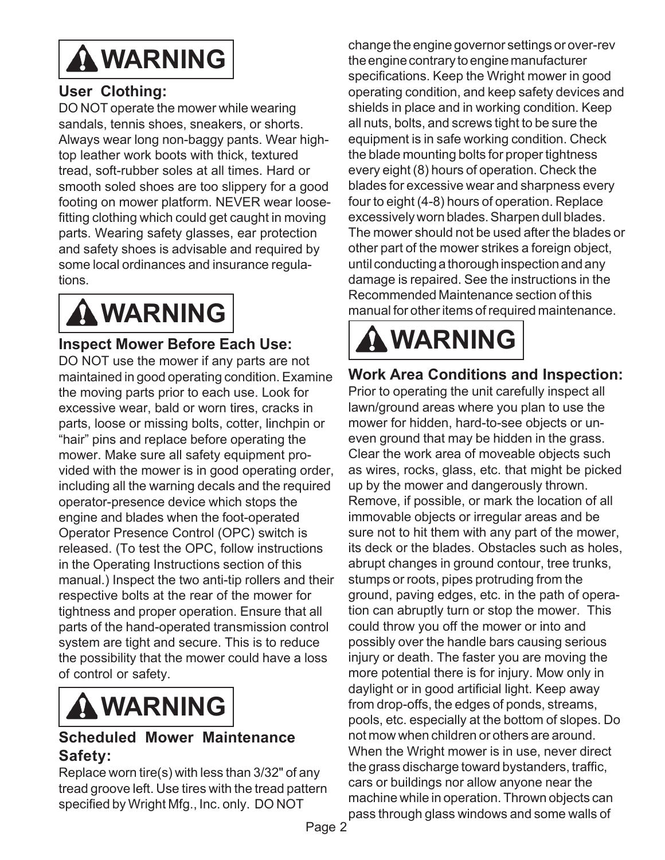

#### **User Clothing:**

DO NOT operate the mower while wearing sandals, tennis shoes, sneakers, or shorts. Always wear long non-baggy pants. Wear hightop leather work boots with thick, textured tread, soft-rubber soles at all times. Hard or smooth soled shoes are too slippery for a good footing on mower platform. NEVER wear loosefitting clothing which could get caught in moving parts. Wearing safety glasses, ear protection and safety shoes is advisable and required by some local ordinances and insurance regulations.

# **WARNING**

#### **Inspect Mower Before Each Use:**

DO NOT use the mower if any parts are not maintained in good operating condition. Examine the moving parts prior to each use. Look for excessive wear, bald or worn tires, cracks in parts, loose or missing bolts, cotter, linchpin or "hair" pins and replace before operating the mower. Make sure all safety equipment provided with the mower is in good operating order, including all the warning decals and the required operator-presence device which stops the engine and blades when the foot-operated Operator Presence Control (OPC) switch is released. (To test the OPC, follow instructions in the Operating Instructions section of this manual.) Inspect the two anti-tip rollers and their respective bolts at the rear of the mower for tightness and proper operation. Ensure that all parts of the hand-operated transmission control system are tight and secure. This is to reduce the possibility that the mower could have a loss of control or safety.



#### **Scheduled Mower Maintenance Safety:**

Replace worn tire(s) with less than 3/32" of any tread groove left. Use tires with the tread pattern specified by Wright Mfg., Inc. only. DO NOT

change the engine governor settings or over-rev the engine contrary to engine manufacturer specifications. Keep the Wright mower in good operating condition, and keep safety devices and shields in place and in working condition. Keep all nuts, bolts, and screws tight to be sure the equipment is in safe working condition. Check the blade mounting bolts for proper tightness every eight (8) hours of operation. Check the blades for excessive wear and sharpness every four to eight (4-8) hours of operation. Replace excessively worn blades. Sharpen dull blades. The mower should not be used after the blades or other part of the mower strikes a foreign object, until conducting a thorough inspection and any damage is repaired. See the instructions in the Recommended Maintenance section of this manual for other items of required maintenance.

# **WARNING**

### **Work Area Conditions and Inspection:**

Prior to operating the unit carefully inspect all lawn/ground areas where you plan to use the mower for hidden, hard-to-see objects or uneven ground that may be hidden in the grass. Clear the work area of moveable objects such as wires, rocks, glass, etc. that might be picked up by the mower and dangerously thrown. Remove, if possible, or mark the location of all immovable objects or irregular areas and be sure not to hit them with any part of the mower, its deck or the blades. Obstacles such as holes, abrupt changes in ground contour, tree trunks, stumps or roots, pipes protruding from the ground, paving edges, etc. in the path of operation can abruptly turn or stop the mower. This could throw you off the mower or into and possibly over the handle bars causing serious injury or death. The faster you are moving the more potential there is for injury. Mow only in daylight or in good artificial light. Keep away from drop-offs, the edges of ponds, streams, pools, etc. especially at the bottom of slopes. Do not mow when children or others are around. When the Wright mower is in use, never direct the grass discharge toward bystanders, traffic, cars or buildings nor allow anyone near the machine while in operation. Thrown objects can pass through glass windows and some walls of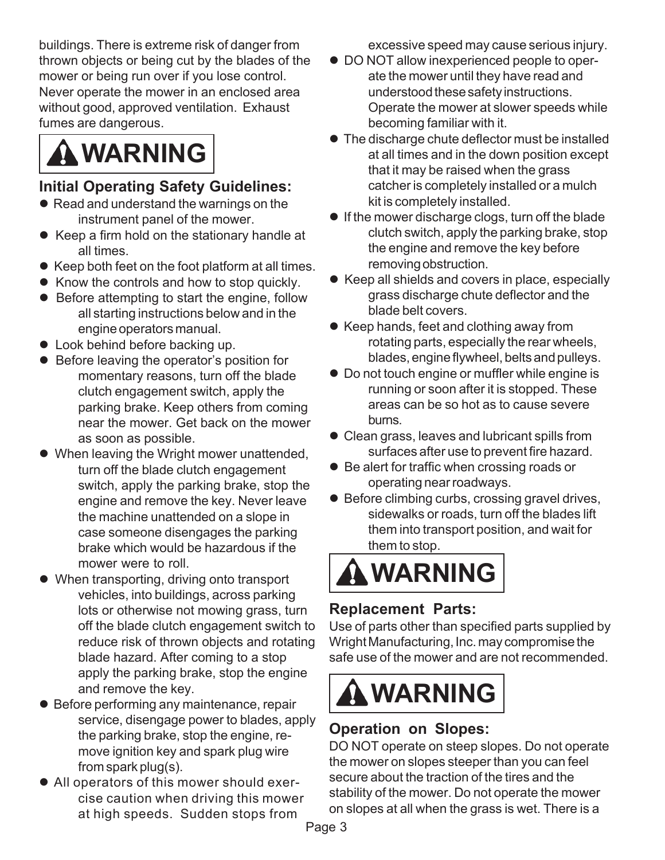buildings. There is extreme risk of danger from thrown objects or being cut by the blades of the mower or being run over if you lose control. Never operate the mower in an enclosed area without good, approved ventilation. Exhaust fumes are dangerous.



#### **Initial Operating Safety Guidelines:**

- Read and understand the warnings on the instrument panel of the mower.
- Keep a firm hold on the stationary handle at all times.
- $\bullet$  Keep both feet on the foot platform at all times.
- $\bullet$  Know the controls and how to stop quickly.
- $\bullet$  Before attempting to start the engine, follow all starting instructions below and in the engine operators manual.
- Look behind before backing up.
- Before leaving the operator's position for momentary reasons, turn off the blade clutch engagement switch, apply the parking brake. Keep others from coming near the mower. Get back on the mower as soon as possible.
- When leaving the Wright mower unattended, turn off the blade clutch engagement switch, apply the parking brake, stop the engine and remove the key. Never leave the machine unattended on a slope in case someone disengages the parking brake which would be hazardous if the mower were to roll.
- When transporting, driving onto transport vehicles, into buildings, across parking lots or otherwise not mowing grass, turn off the blade clutch engagement switch to reduce risk of thrown objects and rotating blade hazard. After coming to a stop apply the parking brake, stop the engine and remove the key.
- Before performing any maintenance, repair service, disengage power to blades, apply the parking brake, stop the engine, remove ignition key and spark plug wire from spark plug(s).
- All operators of this mower should exercise caution when driving this mower at high speeds. Sudden stops from

excessive speed may cause serious injury.

- $\bullet$  DO NOT allow inexperienced people to operate the mower until they have read and understood these safety instructions. Operate the mower at slower speeds while becoming familiar with it.
- $\bullet$  The discharge chute deflector must be installed at all times and in the down position except that it may be raised when the grass catcher is completely installed or a mulch kit is completely installed.
- $\bullet$  If the mower discharge clogs, turn off the blade clutch switch, apply the parking brake, stop the engine and remove the key before removing obstruction.
- Keep all shields and covers in place, especially grass discharge chute deflector and the blade belt covers.
- Keep hands, feet and clothing away from rotating parts, especially the rear wheels, blades, engine flywheel, belts and pulleys.
- Do not touch engine or muffler while engine is running or soon after it is stopped. These areas can be so hot as to cause severe burns.
- Clean grass, leaves and lubricant spills from surfaces after use to prevent fire hazard.
- Be alert for traffic when crossing roads or operating near roadways.
- Before climbing curbs, crossing gravel drives, sidewalks or roads, turn off the blades lift them into transport position, and wait for them to stop.

# **WARNING**

#### **Replacement Parts:**

Use of parts other than specified parts supplied by Wright Manufacturing, Inc. may compromise the safe use of the mower and are not recommended.



### **Operation on Slopes:**

DO NOT operate on steep slopes. Do not operate the mower on slopes steeper than you can feel secure about the traction of the tires and the stability of the mower. Do not operate the mower on slopes at all when the grass is wet. There is a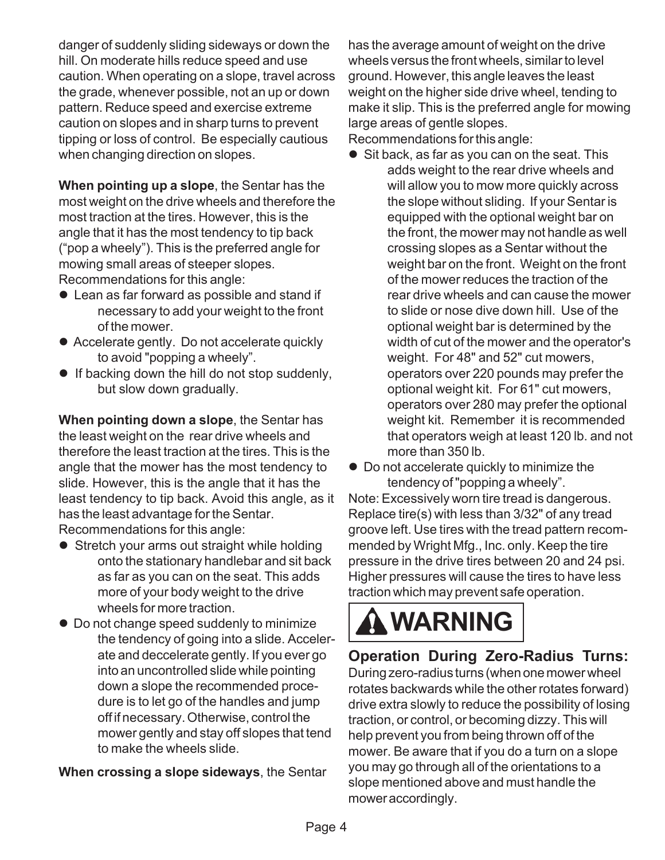danger of suddenly sliding sideways or down the hill. On moderate hills reduce speed and use caution. When operating on a slope, travel across the grade, whenever possible, not an up or down pattern. Reduce speed and exercise extreme caution on slopes and in sharp turns to prevent tipping or loss of control. Be especially cautious when changing direction on slopes.

**When pointing up a slope**, the Sentar has the most weight on the drive wheels and therefore the most traction at the tires. However, this is the angle that it has the most tendency to tip back ("pop a wheely"). This is the preferred angle for mowing small areas of steeper slopes. Recommendations for this angle:

- $\bullet$  Lean as far forward as possible and stand if necessary to add your weight to the front of the mower.
- Accelerate gently. Do not accelerate quickly to avoid "popping a wheely".
- $\bullet$  If backing down the hill do not stop suddenly, but slow down gradually.

**When pointing down a slope**, the Sentar has the least weight on the rear drive wheels and therefore the least traction at the tires. This is the angle that the mower has the most tendency to slide. However, this is the angle that it has the least tendency to tip back. Avoid this angle, as it has the least advantage for the Sentar. Recommendations for this angle:

- **•** Stretch your arms out straight while holding onto the stationary handlebar and sit back as far as you can on the seat. This adds more of your body weight to the drive wheels for more traction.
- Do not change speed suddenly to minimize the tendency of going into a slide. Accelerate and deccelerate gently. If you ever go into an uncontrolled slide while pointing down a slope the recommended procedure is to let go of the handles and jump off if necessary. Otherwise, control the mower gently and stay off slopes that tend to make the wheels slide.

**When crossing a slope sideways**, the Sentar

has the average amount of weight on the drive wheels versus the front wheels, similar to level ground. However, this angle leaves the least weight on the higher side drive wheel, tending to make it slip. This is the preferred angle for mowing large areas of gentle slopes.

Recommendations for this angle:

- $\bullet$  Sit back, as far as you can on the seat. This adds weight to the rear drive wheels and will allow you to mow more quickly across the slope without sliding. If your Sentar is equipped with the optional weight bar on the front, the mower may not handle as well crossing slopes as a Sentar without the weight bar on the front. Weight on the front of the mower reduces the traction of the rear drive wheels and can cause the mower to slide or nose dive down hill. Use of the optional weight bar is determined by the width of cut of the mower and the operator's weight. For 48" and 52" cut mowers, operators over 220 pounds may prefer the optional weight kit. For 61" cut mowers, operators over 280 may prefer the optional weight kit. Remember it is recommended that operators weigh at least 120 lb. and not more than 350 lb.
- $\bullet$  Do not accelerate quickly to minimize the tendency of "popping a wheely".

Note: Excessively worn tire tread is dangerous. Replace tire(s) with less than 3/32" of any tread groove left. Use tires with the tread pattern recommended by Wright Mfg., Inc. only. Keep the tire pressure in the drive tires between 20 and 24 psi. Higher pressures will cause the tires to have less traction which may prevent safe operation.

# **WARNING**

### **Operation During Zero-Radius Turns:**

During zero-radius turns (when one mower wheel rotates backwards while the other rotates forward) drive extra slowly to reduce the possibility of losing traction, or control, or becoming dizzy. This will help prevent you from being thrown off of the mower. Be aware that if you do a turn on a slope you may go through all of the orientations to a slope mentioned above and must handle the mower accordingly.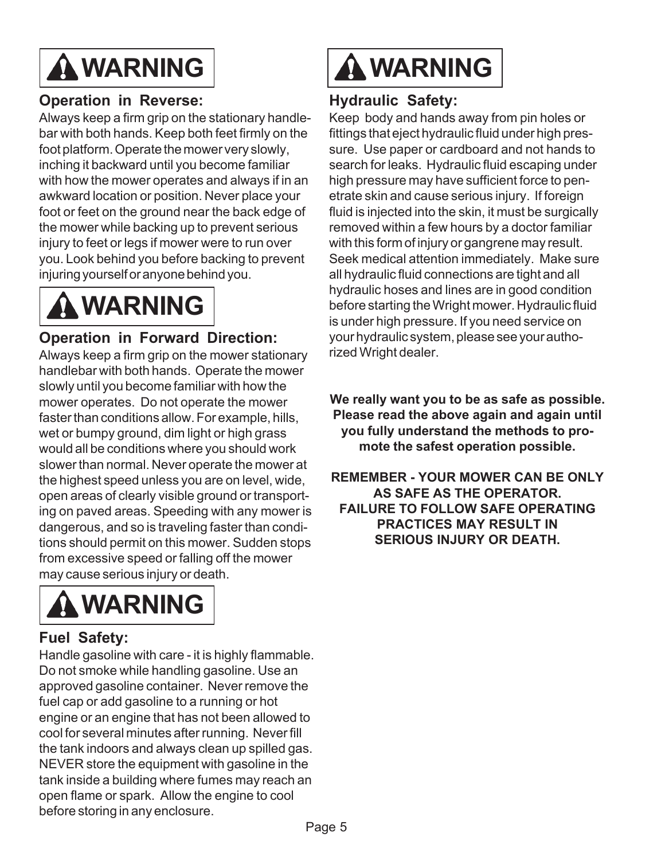

#### **Operation in Reverse:**

Always keep a firm grip on the stationary handlebar with both hands. Keep both feet firmly on the foot platform. Operate the mower very slowly, inching it backward until you become familiar with how the mower operates and always if in an awkward location or position. Never place your foot or feet on the ground near the back edge of the mower while backing up to prevent serious injury to feet or legs if mower were to run over you. Look behind you before backing to prevent injuring yourself or anyone behind you.



### **Operation in Forward Direction:**

Always keep a firm grip on the mower stationary handlebar with both hands. Operate the mower slowly until you become familiar with how the mower operates. Do not operate the mower faster than conditions allow. For example, hills, wet or bumpy ground, dim light or high grass would all be conditions where you should work slower than normal. Never operate the mower at the highest speed unless you are on level, wide, open areas of clearly visible ground or transporting on paved areas. Speeding with any mower is dangerous, and so is traveling faster than conditions should permit on this mower. Sudden stops from excessive speed or falling off the mower may cause serious injury or death.



#### **Fuel Safety:**

Handle gasoline with care - it is highly flammable. Do not smoke while handling gasoline. Use an approved gasoline container. Never remove the fuel cap or add gasoline to a running or hot engine or an engine that has not been allowed to cool for several minutes after running. Never fill the tank indoors and always clean up spilled gas. NEVER store the equipment with gasoline in the tank inside a building where fumes may reach an open flame or spark. Allow the engine to cool before storing in any enclosure.



#### **Hydraulic Safety:**

Keep body and hands away from pin holes or fittings that eject hydraulic fluid under high pressure. Use paper or cardboard and not hands to search for leaks. Hydraulic fluid escaping under high pressure may have sufficient force to penetrate skin and cause serious injury. If foreign fluid is injected into the skin, it must be surgically removed within a few hours by a doctor familiar with this form of injury or gangrene may result. Seek medical attention immediately. Make sure all hydraulic fluid connections are tight and all hydraulic hoses and lines are in good condition before starting the Wright mower. Hydraulic fluid is under high pressure. If you need service on your hydraulic system, please see your authorized Wright dealer.

**We really want you to be as safe as possible. Please read the above again and again until you fully understand the methods to promote the safest operation possible.**

**REMEMBER - YOUR MOWER CAN BE ONLY AS SAFE AS THE OPERATOR. FAILURE TO FOLLOW SAFE OPERATING PRACTICES MAY RESULT IN SERIOUS INJURY OR DEATH.**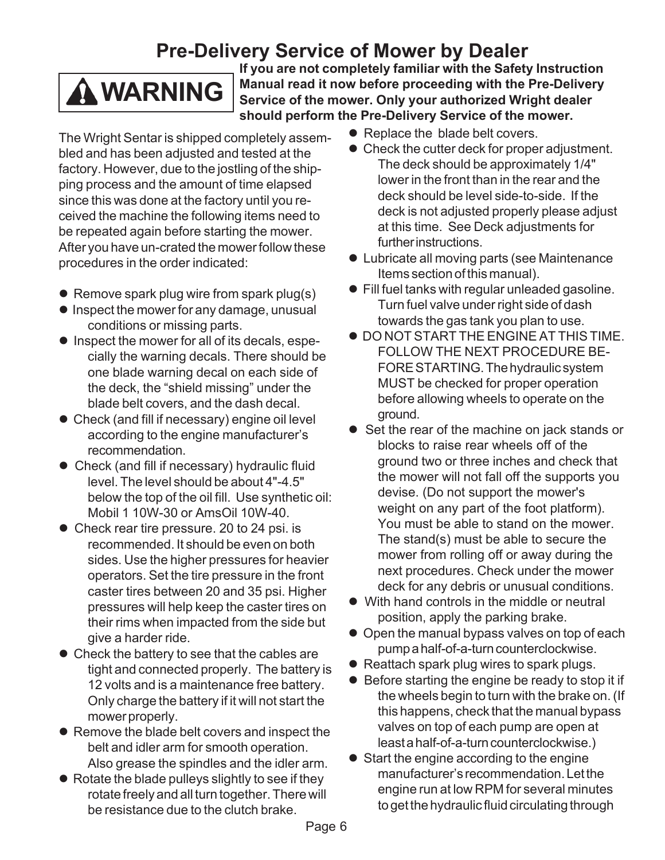## **Pre-Delivery Service of Mower by Dealer**

## **WARNING**

**If you are not completely familiar with the Safety Instruction Manual read it now before proceeding with the Pre-Delivery Service of the mower. Only your authorized Wright dealer should perform the Pre-Delivery Service of the mower.**

- The Wright Sentar is shipped completely assembled and has been adjusted and tested at the factory. However, due to the jostling of the shipping process and the amount of time elapsed since this was done at the factory until you received the machine the following items need to be repeated again before starting the mower. After you have un-crated the mower follow these procedures in the order indicated:
- $\bullet$  Remove spark plug wire from spark plug(s)
- $\bullet$  Inspect the mower for any damage, unusual conditions or missing parts.
- Inspect the mower for all of its decals, especially the warning decals. There should be one blade warning decal on each side of the deck, the "shield missing" under the blade belt covers, and the dash decal.
- Check (and fill if necessary) engine oil level according to the engine manufacturer's recommendation.
- Check (and fill if necessary) hydraulic fluid level. The level should be about 4"-4.5" below the top of the oil fill. Use synthetic oil: Mobil 1 10W-30 or AmsOil 10W-40.
- Check rear tire pressure. 20 to 24 psi. is recommended. It should be even on both sides. Use the higher pressures for heavier operators. Set the tire pressure in the front caster tires between 20 and 35 psi. Higher pressures will help keep the caster tires on their rims when impacted from the side but give a harder ride.
- $\bullet$  Check the battery to see that the cables are tight and connected properly. The battery is 12 volts and is a maintenance free battery. Only charge the battery if it will not start the mower properly.
- Remove the blade belt covers and inspect the belt and idler arm for smooth operation. Also grease the spindles and the idler arm.
- $\bullet$  Rotate the blade pulleys slightly to see if they rotate freely and all turn together. There will be resistance due to the clutch brake.
- Replace the blade belt covers.
- Check the cutter deck for proper adjustment. The deck should be approximately 1/4" lower in the front than in the rear and the deck should be level side-to-side. If the deck is not adjusted properly please adjust at this time. See Deck adjustments for further instructions.
- $\bullet$  Lubricate all moving parts (see Maintenance Items section of this manual).
- $\bullet$  Fill fuel tanks with regular unleaded gasoline. Turn fuel valve under right side of dash towards the gas tank you plan to use.
- $\bullet$  DO NOT START THE ENGINE AT THIS TIME. FOLLOW THE NEXT PROCEDURE BE-FORE STARTING. The hydraulic system MUST be checked for proper operation before allowing wheels to operate on the ground.
- Set the rear of the machine on jack stands or blocks to raise rear wheels off of the ground two or three inches and check that the mower will not fall off the supports you devise. (Do not support the mower's weight on any part of the foot platform). You must be able to stand on the mower. The stand(s) must be able to secure the mower from rolling off or away during the next procedures. Check under the mower deck for any debris or unusual conditions.
- With hand controls in the middle or neutral position, apply the parking brake.
- Open the manual bypass valves on top of each pump a half-of-a-turn counterclockwise.
- Reattach spark plug wires to spark plugs.
- Before starting the engine be ready to stop it if the wheels begin to turn with the brake on. (If this happens, check that the manual bypass valves on top of each pump are open at least a half-of-a-turn counterclockwise.)
- $\bullet$  Start the engine according to the engine manufacturer's recommendation. Let the engine run at low RPM for several minutes to get the hydraulic fluid circulating through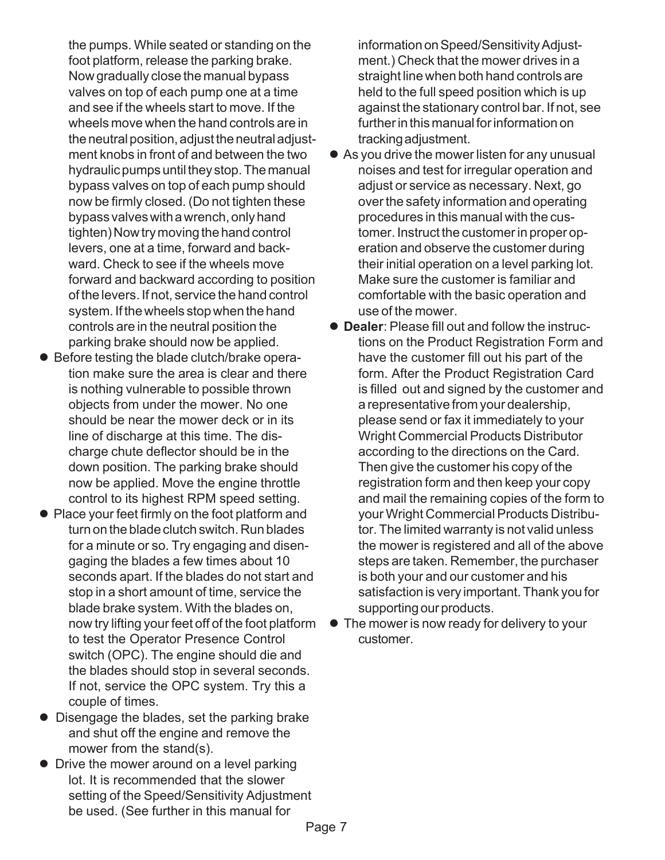the pumps. While seated or standing on the foot platform, release the parking brake. Now gradually close the manual bypass valves on top of each pump one at a time and see if the wheels start to move. If the wheels move when the hand controls are in the neutral position, adjust the neutral adjustment knobs in front of and between the two hydraulic pumps until they stop. The manual bypass valves on top of each pump should now be firmly closed. (Do not tighten these bypass valves with a wrench, only hand tighten) Now try moving the hand control levers, one at a time, forward and backward. Check to see if the wheels move forward and backward according to position of the levers. If not, service the hand control system. If the wheels stop when the hand controls are in the neutral position the parking brake should now be applied.

- Before testing the blade clutch/brake operation make sure the area is clear and there is nothing vulnerable to possible thrown objects from under the mower. No one should be near the mower deck or in its line of discharge at this time. The discharge chute deflector should be in the down position. The parking brake should now be applied. Move the engine throttle control to its highest RPM speed setting.
- Place your feet firmly on the foot platform and turn on the blade clutch switch. Run blades for a minute or so. Try engaging and disengaging the blades a few times about 10 seconds apart. If the blades do not start and stop in a short amount of time, service the blade brake system. With the blades on, now try lifting your feet off of the foot platform to test the Operator Presence Control switch (OPC). The engine should die and the blades should stop in several seconds. If not, service the OPC system. Try this a couple of times.
- Disengage the blades, set the parking brake and shut off the engine and remove the mower from the stand(s).
- $\bullet$  Drive the mower around on a level parking lot. It is recommended that the slower setting of the Speed/Sensitivity Adjustment be used. (See further in this manual for

information on Speed/Sensitivity Adjustment.) Check that the mower drives in a straight line when both hand controls are held to the full speed position which is up against the stationary control bar. If not, see further in this manual for information on tracking adjustment.

- As you drive the mower listen for any unusual noises and test for irregular operation and adjust or service as necessary. Next, go over the safety information and operating procedures in this manual with the customer. Instruct the customer in proper operation and observe the customer during their initial operation on a level parking lot. Make sure the customer is familiar and comfortable with the basic operation and use of the mower.
- **Dealer: Please fill out and follow the instruc**tions on the Product Registration Form and have the customer fill out his part of the form. After the Product Registration Card is filled out and signed by the customer and a representative from your dealership, please send or fax it immediately to your Wright Commercial Products Distributor according to the directions on the Card. Then give the customer his copy of the registration form and then keep your copy and mail the remaining copies of the form to your Wright Commercial Products Distributor. The limited warranty is not valid unless the mower is registered and all of the above steps are taken. Remember, the purchaser is both your and our customer and his satisfaction is very important. Thank you for supporting our products.
- The mower is now ready for delivery to your customer.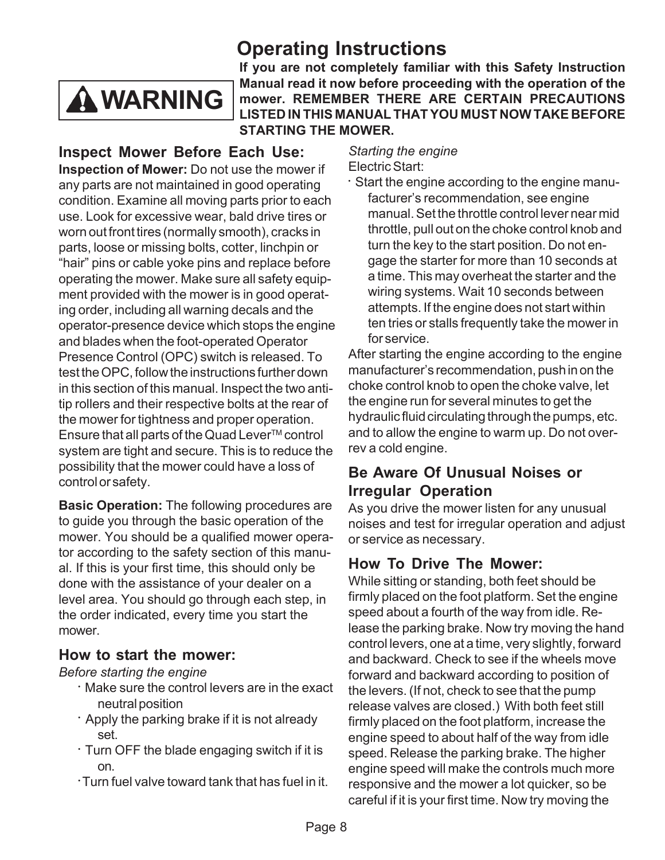## **Operating Instructions**



**If you are not completely familiar with this Safety Instruction Manual read it now before proceeding with the operation of the mower. REMEMBER THERE ARE CERTAIN PRECAUTIONS LISTED IN THIS MANUAL THAT YOU MUST NOW TAKE BEFORE STARTING THE MOWER.**

#### **Inspect Mower Before Each Use: Inspection of Mower:** Do not use the mower if any parts are not maintained in good operating condition. Examine all moving parts prior to each use. Look for excessive wear, bald drive tires or worn out front tires (normally smooth), cracks in parts, loose or missing bolts, cotter, linchpin or "hair" pins or cable yoke pins and replace before operating the mower. Make sure all safety equipment provided with the mower is in good operating order, including all warning decals and the operator-presence device which stops the engine and blades when the foot-operated Operator Presence Control (OPC) switch is released. To test the OPC, follow the instructions further down in this section of this manual. Inspect the two antitip rollers and their respective bolts at the rear of the mower for tightness and proper operation. Ensure that all parts of the Quad Lever $TM$  control system are tight and secure. This is to reduce the possibility that the mower could have a loss of control or safety.

**Basic Operation:** The following procedures are to guide you through the basic operation of the mower. You should be a qualified mower operator according to the safety section of this manual. If this is your first time, this should only be done with the assistance of your dealer on a level area. You should go through each step, in the order indicated, every time you start the mower.

#### **How to start the mower:**

#### *Before starting the engine*

- **•** Make sure the control levers are in the exact neutral position
- **•** Apply the parking brake if it is not already set.
- **•** Turn OFF the blade engaging switch if it is on.
- Turn fuel valve toward tank that has fuel in it.

*Starting the engine* Electric Start:

**•** Start the engine according to the engine manufacturer's recommendation, see engine manual. Set the throttle control lever near mid throttle, pull out on the choke control knob and turn the key to the start position. Do not engage the starter for more than 10 seconds at a time. This may overheat the starter and the wiring systems. Wait 10 seconds between attempts. If the engine does not start within ten tries or stalls frequently take the mower in for service.

After starting the engine according to the engine manufacturer's recommendation, push in on the choke control knob to open the choke valve, let the engine run for several minutes to get the hydraulic fluid circulating through the pumps, etc. and to allow the engine to warm up. Do not overrev a cold engine.

#### **Be Aware Of Unusual Noises or Irregular Operation**

As you drive the mower listen for any unusual noises and test for irregular operation and adjust or service as necessary.

### **How To Drive The Mower:**

While sitting or standing, both feet should be firmly placed on the foot platform. Set the engine speed about a fourth of the way from idle. Release the parking brake. Now try moving the hand control levers, one at a time, very slightly, forward and backward. Check to see if the wheels move forward and backward according to position of the levers. (If not, check to see that the pump release valves are closed.) With both feet still firmly placed on the foot platform, increase the engine speed to about half of the way from idle speed. Release the parking brake. The higher engine speed will make the controls much more responsive and the mower a lot quicker, so be careful if it is your first time. Now try moving the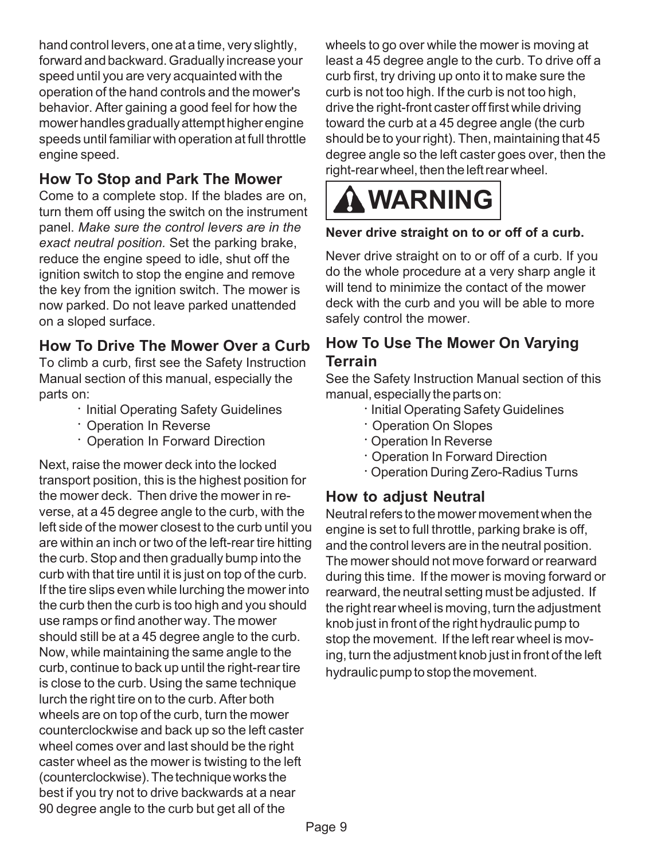hand control levers, one at a time, very slightly, forward and backward. Gradually increase your speed until you are very acquainted with the operation of the hand controls and the mower's behavior. After gaining a good feel for how the mower handles gradually attempt higher engine speeds until familiar with operation at full throttle engine speed.

### **How To Stop and Park The Mower**

Come to a complete stop. If the blades are on, turn them off using the switch on the instrument panel. *Make sure the control levers are in the exact neutral position.* Set the parking brake, reduce the engine speed to idle, shut off the ignition switch to stop the engine and remove the key from the ignition switch. The mower is now parked. Do not leave parked unattended on a sloped surface.

#### **How To Drive The Mower Over a Curb**

To climb a curb, first see the Safety Instruction Manual section of this manual, especially the parts on:

- **•** Initial Operating Safety Guidelines
- **•** Operation In Reverse
- **•** Operation In Forward Direction

Next, raise the mower deck into the locked transport position, this is the highest position for the mower deck. Then drive the mower in reverse, at a 45 degree angle to the curb, with the left side of the mower closest to the curb until you are within an inch or two of the left-rear tire hitting the curb. Stop and then gradually bump into the curb with that tire until it is just on top of the curb. If the tire slips even while lurching the mower into the curb then the curb is too high and you should use ramps or find another way. The mower should still be at a 45 degree angle to the curb. Now, while maintaining the same angle to the curb, continue to back up until the right-rear tire is close to the curb. Using the same technique lurch the right tire on to the curb. After both wheels are on top of the curb, turn the mower counterclockwise and back up so the left caster wheel comes over and last should be the right caster wheel as the mower is twisting to the left (counterclockwise). The technique works the best if you try not to drive backwards at a near 90 degree angle to the curb but get all of the

wheels to go over while the mower is moving at least a 45 degree angle to the curb. To drive off a curb first, try driving up onto it to make sure the curb is not too high. If the curb is not too high, drive the right-front caster off first while driving toward the curb at a 45 degree angle (the curb should be to your right). Then, maintaining that 45 degree angle so the left caster goes over, then the right-rear wheel, then the left rear wheel.



#### **Never drive straight on to or off of a curb.**

Never drive straight on to or off of a curb. If you do the whole procedure at a very sharp angle it will tend to minimize the contact of the mower deck with the curb and you will be able to more safely control the mower.

#### **How To Use The Mower On Varying Terrain**

See the Safety Instruction Manual section of this manual, especially the parts on:

- **•** Initial Operating Safety Guidelines
- **•** Operation On Slopes
- **•** Operation In Reverse
- **•** Operation In Forward Direction
- **•** Operation During Zero-Radius Turns

#### **How to adjust Neutral**

Neutral refers to the mower movement when the engine is set to full throttle, parking brake is off, and the control levers are in the neutral position. The mower should not move forward or rearward during this time. If the mower is moving forward or rearward, the neutral setting must be adjusted. If the right rear wheel is moving, turn the adjustment knob just in front of the right hydraulic pump to stop the movement. If the left rear wheel is moving, turn the adjustment knob just in front of the left hydraulic pump to stop the movement.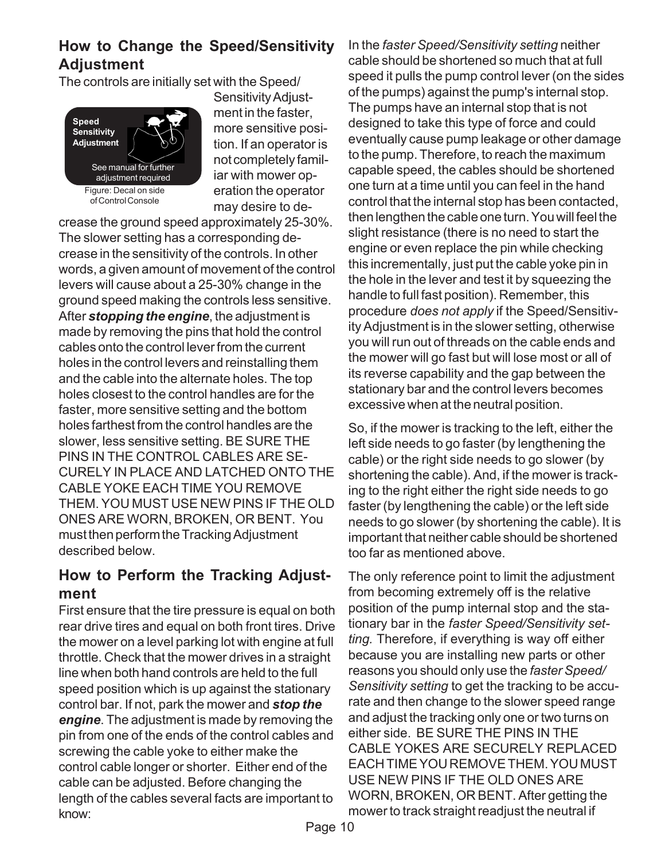#### **How to Change the Speed/Sensitivity Adjustment**

The controls are initially set with the Speed/



Sensitivity Adjustment in the faster, more sensitive position. If an operator is not completely familiar with mower operation the operator may desire to de-

crease the ground speed approximately 25-30%. The slower setting has a corresponding decrease in the sensitivity of the controls. In other words, a given amount of movement of the control levers will cause about a 25-30% change in the ground speed making the controls less sensitive. After *stopping the engine*, the adjustment is made by removing the pins that hold the control cables onto the control lever from the current holes in the control levers and reinstalling them and the cable into the alternate holes. The top holes closest to the control handles are for the faster, more sensitive setting and the bottom holes farthest from the control handles are the slower, less sensitive setting. BE SURE THE PINS IN THE CONTROL CABLES ARE SE-CURELY IN PLACE AND LATCHED ONTO THE CABLE YOKE EACH TIME YOU REMOVE THEM. YOU MUST USE NEW PINS IF THE OLD ONES ARE WORN, BROKEN, OR BENT. You must then perform the Tracking Adjustment described below.

#### **How to Perform the Tracking Adjustment**

First ensure that the tire pressure is equal on both rear drive tires and equal on both front tires. Drive the mower on a level parking lot with engine at full throttle. Check that the mower drives in a straight line when both hand controls are held to the full speed position which is up against the stationary control bar. If not, park the mower and *stop the engine*. The adjustment is made by removing the pin from one of the ends of the control cables and screwing the cable yoke to either make the control cable longer or shorter. Either end of the cable can be adjusted. Before changing the length of the cables several facts are important to know:

In the *faster Speed/Sensitivity setting* neither cable should be shortened so much that at full speed it pulls the pump control lever (on the sides of the pumps) against the pump's internal stop. The pumps have an internal stop that is not designed to take this type of force and could eventually cause pump leakage or other damage to the pump. Therefore, to reach the maximum capable speed, the cables should be shortened one turn at a time until you can feel in the hand control that the internal stop has been contacted, then lengthen the cable one turn. You will feel the slight resistance (there is no need to start the engine or even replace the pin while checking this incrementally, just put the cable yoke pin in the hole in the lever and test it by squeezing the handle to full fast position). Remember, this procedure *does not apply* if the Speed/Sensitivity Adjustment is in the slower setting, otherwise you will run out of threads on the cable ends and the mower will go fast but will lose most or all of its reverse capability and the gap between the stationary bar and the control levers becomes excessive when at the neutral position.

So, if the mower is tracking to the left, either the left side needs to go faster (by lengthening the cable) or the right side needs to go slower (by shortening the cable). And, if the mower is tracking to the right either the right side needs to go faster (by lengthening the cable) or the left side needs to go slower (by shortening the cable). It is important that neither cable should be shortened too far as mentioned above.

The only reference point to limit the adjustment from becoming extremely off is the relative position of the pump internal stop and the stationary bar in the *faster Speed/Sensitivity setting.* Therefore, if everything is way off either because you are installing new parts or other reasons you should only use the *faster Speed/ Sensitivity setting* to get the tracking to be accurate and then change to the slower speed range and adjust the tracking only one or two turns on either side. BE SURE THE PINS IN THE CABLE YOKES ARE SECURELY REPLACED EACH TIME YOU REMOVE THEM. YOU MUST USE NEW PINS IF THE OLD ONES ARE WORN, BROKEN, OR BENT. After getting the mower to track straight readjust the neutral if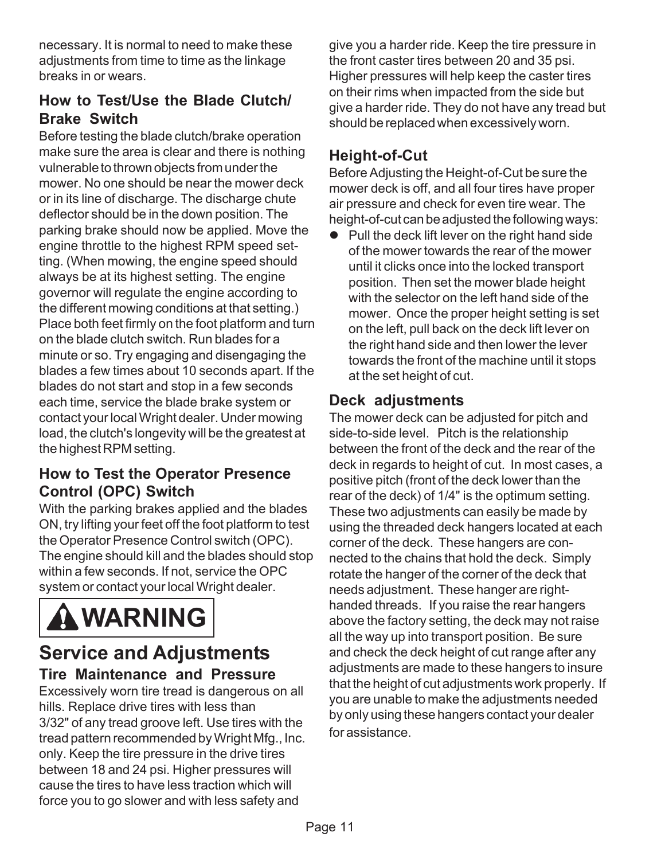necessary. It is normal to need to make these adjustments from time to time as the linkage breaks in or wears.

### **How to Test/Use the Blade Clutch/ Brake Switch**

Before testing the blade clutch/brake operation make sure the area is clear and there is nothing vulnerable to thrown objects from under the mower. No one should be near the mower deck or in its line of discharge. The discharge chute deflector should be in the down position. The parking brake should now be applied. Move the engine throttle to the highest RPM speed setting. (When mowing, the engine speed should always be at its highest setting. The engine governor will regulate the engine according to the different mowing conditions at that setting.) Place both feet firmly on the foot platform and turn on the blade clutch switch. Run blades for a minute or so. Try engaging and disengaging the blades a few times about 10 seconds apart. If the blades do not start and stop in a few seconds each time, service the blade brake system or contact your local Wright dealer. Under mowing load, the clutch's longevity will be the greatest at the highest RPM setting.

#### **How to Test the Operator Presence Control (OPC) Switch**

With the parking brakes applied and the blades ON, try lifting your feet off the foot platform to test the Operator Presence Control switch (OPC). The engine should kill and the blades should stop within a few seconds. If not, service the OPC system or contact your local Wright dealer.



### **Service and Adjustments Tire Maintenance and Pressure**

Excessively worn tire tread is dangerous on all hills. Replace drive tires with less than 3/32" of any tread groove left. Use tires with the tread pattern recommended by Wright Mfg., Inc. only. Keep the tire pressure in the drive tires between 18 and 24 psi. Higher pressures will cause the tires to have less traction which will force you to go slower and with less safety and

give you a harder ride. Keep the tire pressure in the front caster tires between 20 and 35 psi. Higher pressures will help keep the caster tires on their rims when impacted from the side but give a harder ride. They do not have any tread but should be replaced when excessively worn.

### **Height-of-Cut**

Before Adjusting the Height-of-Cut be sure the mower deck is off, and all four tires have proper air pressure and check for even tire wear. The height-of-cut can be adjusted the following ways:

 $\bullet$  Pull the deck lift lever on the right hand side of the mower towards the rear of the mower until it clicks once into the locked transport position. Then set the mower blade height with the selector on the left hand side of the mower. Once the proper height setting is set on the left, pull back on the deck lift lever on the right hand side and then lower the lever towards the front of the machine until it stops at the set height of cut.

#### **Deck adjustments**

The mower deck can be adjusted for pitch and side-to-side level. Pitch is the relationship between the front of the deck and the rear of the deck in regards to height of cut. In most cases, a positive pitch (front of the deck lower than the rear of the deck) of 1/4" is the optimum setting. These two adjustments can easily be made by using the threaded deck hangers located at each corner of the deck. These hangers are connected to the chains that hold the deck. Simply rotate the hanger of the corner of the deck that needs adjustment. These hanger are righthanded threads. If you raise the rear hangers above the factory setting, the deck may not raise all the way up into transport position. Be sure and check the deck height of cut range after any adjustments are made to these hangers to insure that the height of cut adjustments work properly. If you are unable to make the adjustments needed by only using these hangers contact your dealer for assistance.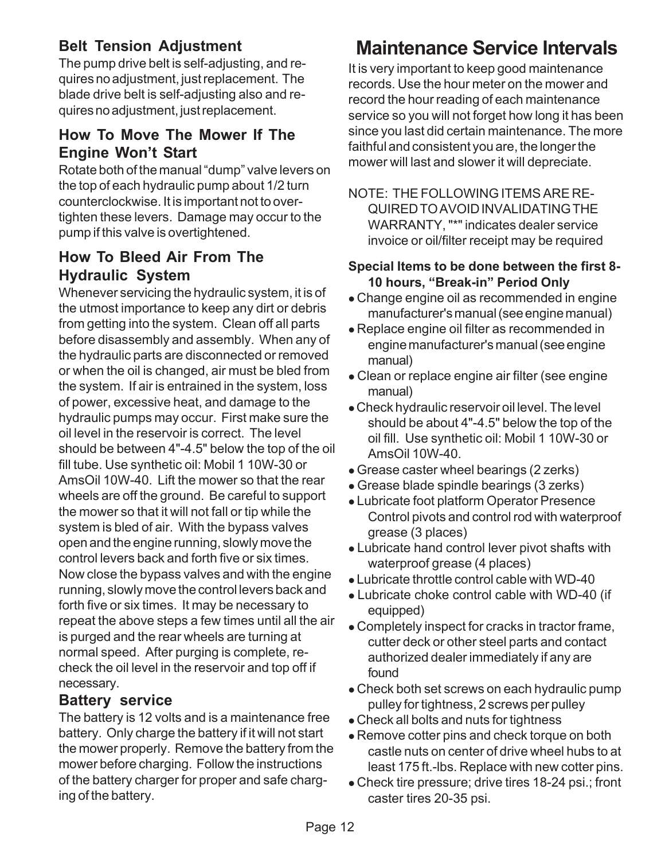### **Belt Tension Adjustment**

The pump drive belt is self-adjusting, and requires no adjustment, just replacement. The blade drive belt is self-adjusting also and requires no adjustment, just replacement.

#### **How To Move The Mower If The Engine Won't Start**

Rotate both of the manual "dump" valve levers on the top of each hydraulic pump about 1/2 turn counterclockwise. It is important not to overtighten these levers. Damage may occur to the pump if this valve is overtightened.

#### **How To Bleed Air From The Hydraulic System**

Whenever servicing the hydraulic system, it is of the utmost importance to keep any dirt or debris from getting into the system. Clean off all parts before disassembly and assembly. When any of the hydraulic parts are disconnected or removed or when the oil is changed, air must be bled from the system. If air is entrained in the system, loss of power, excessive heat, and damage to the hydraulic pumps may occur. First make sure the oil level in the reservoir is correct. The level should be between 4"-4.5" below the top of the oil fill tube. Use synthetic oil: Mobil 1 10W-30 or AmsOil 10W-40. Lift the mower so that the rear wheels are off the ground. Be careful to support the mower so that it will not fall or tip while the system is bled of air. With the bypass valves open and the engine running, slowly move the control levers back and forth five or six times. Now close the bypass valves and with the engine running, slowly move the control levers back and forth five or six times. It may be necessary to repeat the above steps a few times until all the air is purged and the rear wheels are turning at normal speed. After purging is complete, recheck the oil level in the reservoir and top off if necessary.

#### **Battery service**

The battery is 12 volts and is a maintenance free battery. Only charge the battery if it will not start the mower properly. Remove the battery from the mower before charging. Follow the instructions of the battery charger for proper and safe charging of the battery.

## **Maintenance Service Intervals**

It is very important to keep good maintenance records. Use the hour meter on the mower and record the hour reading of each maintenance service so you will not forget how long it has been since you last did certain maintenance. The more faithful and consistent you are, the longer the mower will last and slower it will depreciate.

NOTE: THE FOLLOWING ITEMS ARE RE-QUIRED TO AVOID INVALIDATING THE WARRANTY, "\*" indicates dealer service invoice or oil/filter receipt may be required

#### **Special Items to be done between the first 8- 10 hours, "Break-in" Period Only**

- Change engine oil as recommended in engine manufacturer's manual (see engine manual)
- Replace engine oil filter as recommended in engine manufacturer's manual (see engine manual)
- Clean or replace engine air filter (see engine manual)
- Check hydraulic reservoir oil level. The level should be about 4"-4.5" below the top of the oil fill. Use synthetic oil: Mobil 1 10W-30 or AmsOil 10W-40.
- Grease caster wheel bearings (2 zerks)
- Grease blade spindle bearings (3 zerks)
- Lubricate foot platform Operator Presence Control pivots and control rod with waterproof grease (3 places)
- Lubricate hand control lever pivot shafts with waterproof grease (4 places)
- Lubricate throttle control cable with WD-40
- Lubricate choke control cable with WD-40 (if equipped)
- Completely inspect for cracks in tractor frame, cutter deck or other steel parts and contact authorized dealer immediately if any are found
- Check both set screws on each hydraulic pump pulley for tightness, 2 screws per pulley
- Check all bolts and nuts for tightness
- Remove cotter pins and check torque on both castle nuts on center of drive wheel hubs to at least 175 ft.-lbs. Replace with new cotter pins.
- Check tire pressure; drive tires 18-24 psi.; front caster tires 20-35 psi.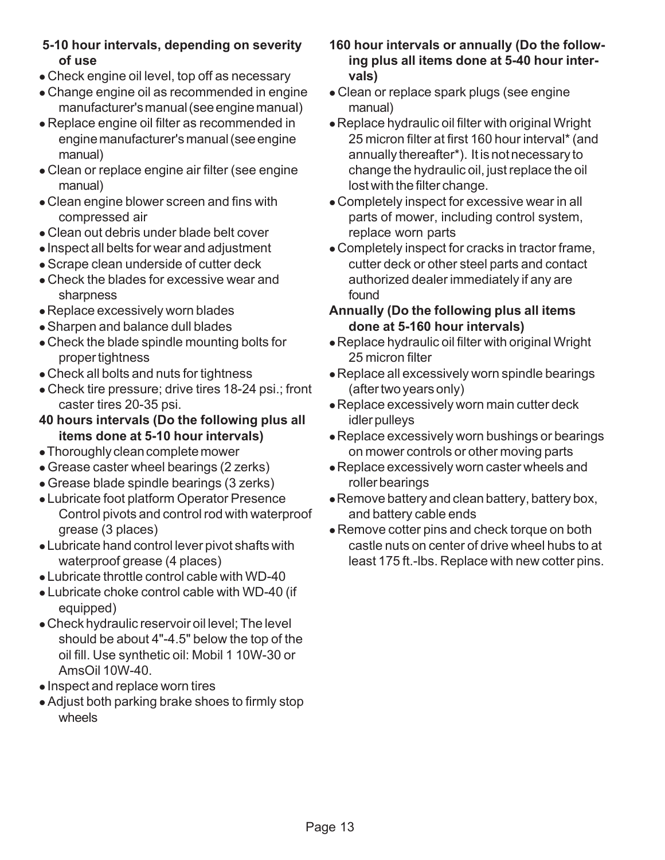- Check engine oil level, top off as necessary
- Change engine oil as recommended in engine manufacturer's manual (see engine manual)
- Replace engine oil filter as recommended in engine manufacturer's manual (see engine manual)
- Clean or replace engine air filter (see engine manual)
- Clean engine blower screen and fins with compressed air
- Clean out debris under blade belt cover
- Inspect all belts for wear and adjustment
- Scrape clean underside of cutter deck
- Check the blades for excessive wear and sharpness
- Replace excessively worn blades
- Sharpen and balance dull blades
- Check the blade spindle mounting bolts for proper tightness
- Check all bolts and nuts for tightness
- Check tire pressure; drive tires 18-24 psi.; front caster tires 20-35 psi.
- **40 hours intervals (Do the following plus all items done at 5-10 hour intervals)**
- Thoroughly clean complete mower
- Grease caster wheel bearings (2 zerks)
- Grease blade spindle bearings (3 zerks)
- Lubricate foot platform Operator Presence Control pivots and control rod with waterproof grease (3 places)
- Lubricate hand control lever pivot shafts with waterproof grease (4 places)
- Lubricate throttle control cable with WD-40
- Lubricate choke control cable with WD-40 (if equipped)
- Check hydraulic reservoir oil level; The level should be about 4"-4.5" below the top of the oil fill. Use synthetic oil: Mobil 1 10W-30 or AmsOil 10W-40.
- Inspect and replace worn tires
- Adjust both parking brake shoes to firmly stop wheels
- **160 hour intervals or annually (Do the following plus all items done at 5-40 hour intervals)**
- Clean or replace spark plugs (see engine manual)
- Replace hydraulic oil filter with original Wright 25 micron filter at first 160 hour interval\* (and annually thereafter\*). It is not necessary to change the hydraulic oil, just replace the oil lost with the filter change.
- Completely inspect for excessive wear in all parts of mower, including control system, replace worn parts
- Completely inspect for cracks in tractor frame, cutter deck or other steel parts and contact authorized dealer immediately if any are found

#### **Annually (Do the following plus all items done at 5-160 hour intervals)**

- Replace hydraulic oil filter with original Wright 25 micron filter
- Replace all excessively worn spindle bearings (after two years only)
- Replace excessively worn main cutter deck idler pulleys
- Replace excessively worn bushings or bearings on mower controls or other moving parts
- Replace excessively worn caster wheels and roller bearings
- Remove battery and clean battery, battery box, and battery cable ends
- Remove cotter pins and check torque on both castle nuts on center of drive wheel hubs to at least 175 ft.-lbs. Replace with new cotter pins.